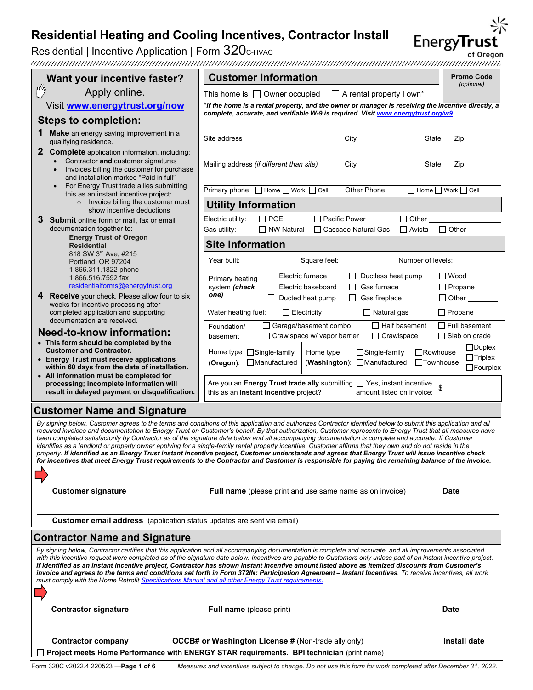| Residential   Incentive Application   Form 320c-HVAC                                                      | Residential Heating and Cooling Incentives, Contractor Install                                                                                                                                                                                                                                                                                                                                                                                                                                                                                                                                                                                                                                                                                                                                                                                                                                                                                                 |                                                                                                     |                         | <b>EnergyTrust</b>                    |  |
|-----------------------------------------------------------------------------------------------------------|----------------------------------------------------------------------------------------------------------------------------------------------------------------------------------------------------------------------------------------------------------------------------------------------------------------------------------------------------------------------------------------------------------------------------------------------------------------------------------------------------------------------------------------------------------------------------------------------------------------------------------------------------------------------------------------------------------------------------------------------------------------------------------------------------------------------------------------------------------------------------------------------------------------------------------------------------------------|-----------------------------------------------------------------------------------------------------|-------------------------|---------------------------------------|--|
|                                                                                                           |                                                                                                                                                                                                                                                                                                                                                                                                                                                                                                                                                                                                                                                                                                                                                                                                                                                                                                                                                                |                                                                                                     |                         | of Oregon                             |  |
| Want your incentive faster?                                                                               | <b>Customer Information</b>                                                                                                                                                                                                                                                                                                                                                                                                                                                                                                                                                                                                                                                                                                                                                                                                                                                                                                                                    |                                                                                                     |                         | <b>Promo Code</b><br>(optional)       |  |
| $\mathcal{C}'$<br>Apply online.                                                                           | This home is $\Box$ Owner occupied                                                                                                                                                                                                                                                                                                                                                                                                                                                                                                                                                                                                                                                                                                                                                                                                                                                                                                                             | $\Box$ A rental property I own*                                                                     |                         |                                       |  |
| Visit www.energytrust.org/now                                                                             | *If the home is a rental property, and the owner or manager is receiving the incentive directly, a<br>complete, accurate, and verifiable W-9 is required. Visit www.energytrust.org/w9.                                                                                                                                                                                                                                                                                                                                                                                                                                                                                                                                                                                                                                                                                                                                                                        |                                                                                                     |                         |                                       |  |
| <b>Steps to completion:</b>                                                                               |                                                                                                                                                                                                                                                                                                                                                                                                                                                                                                                                                                                                                                                                                                                                                                                                                                                                                                                                                                |                                                                                                     |                         |                                       |  |
| Make an energy saving improvement in a<br>qualifying residence.                                           | Site address                                                                                                                                                                                                                                                                                                                                                                                                                                                                                                                                                                                                                                                                                                                                                                                                                                                                                                                                                   | City                                                                                                | State                   | Zip                                   |  |
| $\mathbf{2}$<br><b>Complete</b> application information, including:<br>Contractor and customer signatures |                                                                                                                                                                                                                                                                                                                                                                                                                                                                                                                                                                                                                                                                                                                                                                                                                                                                                                                                                                |                                                                                                     |                         |                                       |  |
| Invoices billing the customer for purchase                                                                | Mailing address (if different than site)                                                                                                                                                                                                                                                                                                                                                                                                                                                                                                                                                                                                                                                                                                                                                                                                                                                                                                                       | City                                                                                                | <b>State</b>            | Zip                                   |  |
| and installation marked "Paid in full"<br>For Energy Trust trade allies submitting                        | Primary phone □ Home □ Work □ Cell                                                                                                                                                                                                                                                                                                                                                                                                                                                                                                                                                                                                                                                                                                                                                                                                                                                                                                                             | Other Phone                                                                                         |                         | $\Box$ Home $\Box$ Work $\Box$ Cell   |  |
| this as an instant incentive project:<br>o Invoice billing the customer must                              | <b>Utility Information</b>                                                                                                                                                                                                                                                                                                                                                                                                                                                                                                                                                                                                                                                                                                                                                                                                                                                                                                                                     |                                                                                                     |                         |                                       |  |
| show incentive deductions                                                                                 | $\Box$ PGE<br>Electric utility:                                                                                                                                                                                                                                                                                                                                                                                                                                                                                                                                                                                                                                                                                                                                                                                                                                                                                                                                | $\Box$ Pacific Power                                                                                | $\Box$ Other            |                                       |  |
| <b>Submit</b> online form or mail, fax or email<br>documentation together to:                             | Gas utility:<br>$\Box$ NW Natural                                                                                                                                                                                                                                                                                                                                                                                                                                                                                                                                                                                                                                                                                                                                                                                                                                                                                                                              | □ Cascade Natural Gas                                                                               | <b>□ Avista</b>         | $\Box$ Other                          |  |
| <b>Energy Trust of Oregon</b><br><b>Residential</b>                                                       | <b>Site Information</b>                                                                                                                                                                                                                                                                                                                                                                                                                                                                                                                                                                                                                                                                                                                                                                                                                                                                                                                                        |                                                                                                     |                         |                                       |  |
| 818 SW 3rd Ave, #215<br>Portland, OR 97204                                                                | Year built:<br>Square feet:                                                                                                                                                                                                                                                                                                                                                                                                                                                                                                                                                                                                                                                                                                                                                                                                                                                                                                                                    |                                                                                                     | Number of levels:       |                                       |  |
| 1.866.311.1822 phone<br>1.866.516.7592 fax                                                                | Electric furnace                                                                                                                                                                                                                                                                                                                                                                                                                                                                                                                                                                                                                                                                                                                                                                                                                                                                                                                                               | Ductless heat pump                                                                                  |                         | $\Box$ Wood                           |  |
| residentialforms@energytrust.org                                                                          | Primary heating<br>system (check<br>Electric baseboard                                                                                                                                                                                                                                                                                                                                                                                                                                                                                                                                                                                                                                                                                                                                                                                                                                                                                                         | Gas furnace<br>ΙI                                                                                   |                         | $\Box$ Propane                        |  |
| <b>Receive</b> your check. Please allow four to six<br>4<br>weeks for incentive processing after          | one)<br>Ducted heat pump                                                                                                                                                                                                                                                                                                                                                                                                                                                                                                                                                                                                                                                                                                                                                                                                                                                                                                                                       | $\Box$ Gas fireplace                                                                                |                         | $\Box$ Other                          |  |
| completed application and supporting<br>documentation are received.                                       | Water heating fuel:<br>$\Box$ Electricity                                                                                                                                                                                                                                                                                                                                                                                                                                                                                                                                                                                                                                                                                                                                                                                                                                                                                                                      | $\Box$ Natural gas                                                                                  |                         | $\Box$ Propane                        |  |
| <b>Need-to-know information:</b>                                                                          | □ Garage/basement combo<br>Foundation/                                                                                                                                                                                                                                                                                                                                                                                                                                                                                                                                                                                                                                                                                                                                                                                                                                                                                                                         |                                                                                                     | $\Box$ Half basement    | $\Box$ Full basement                  |  |
| • This form should be completed by the                                                                    | $\Box$ Crawlspace w/ vapor barrier<br>basement                                                                                                                                                                                                                                                                                                                                                                                                                                                                                                                                                                                                                                                                                                                                                                                                                                                                                                                 |                                                                                                     | $\Box$ Crawlspace       | $\Box$ Slab on grade<br>$\Box$ Duplex |  |
| <b>Customer and Contractor.</b><br>• Energy Trust must receive applications                               | Home type $\Box$ Single-family<br>Home type<br>(Oregon): Manufactured                                                                                                                                                                                                                                                                                                                                                                                                                                                                                                                                                                                                                                                                                                                                                                                                                                                                                          | $\Box$ Single-family<br>(Washington): Manufactured                                                  | □Rowhouse<br>□Townhouse | $\Box$ Triplex                        |  |
| within 60 days from the date of installation.<br>• All information must be completed for                  |                                                                                                                                                                                                                                                                                                                                                                                                                                                                                                                                                                                                                                                                                                                                                                                                                                                                                                                                                                |                                                                                                     |                         | $\Box$ Fourplex                       |  |
| processing; incomplete information will<br>result in delayed payment or disqualification.                 | this as an Instant Incentive project?                                                                                                                                                                                                                                                                                                                                                                                                                                                                                                                                                                                                                                                                                                                                                                                                                                                                                                                          | Are you an Energy Trust trade ally submitting □ Yes, instant incentive<br>amount listed on invoice: |                         |                                       |  |
| <b>Customer Name and Signature</b>                                                                        |                                                                                                                                                                                                                                                                                                                                                                                                                                                                                                                                                                                                                                                                                                                                                                                                                                                                                                                                                                |                                                                                                     |                         |                                       |  |
|                                                                                                           | By signing below, Customer agrees to the terms and conditions of this application and authorizes Contractor identified below to submit this application and all<br>required invoices and documentation to Energy Trust on Customer's behalf. By that authorization, Customer represents to Energy Trust that all measures have<br>been completed satisfactorily by Contractor as of the signature date below and all accompanying documentation is complete and accurate. If Customer<br>identifies as a landlord or property owner applying for a single-family rental property incentive, Customer affirms that they own and do not reside in the<br>property. If identified as an Energy Trust instant incentive project, Customer understands and agrees that Energy Trust will issue incentive check<br>for incentives that meet Energy Trust requirements to the Contractor and Customer is responsible for paying the remaining balance of the invoice. |                                                                                                     |                         |                                       |  |
| <b>Customer signature</b>                                                                                 | <b>Full name</b> (please print and use same name as on invoice)                                                                                                                                                                                                                                                                                                                                                                                                                                                                                                                                                                                                                                                                                                                                                                                                                                                                                                |                                                                                                     |                         | <b>Date</b>                           |  |
| Customer email address (application status updates are sent via email)                                    |                                                                                                                                                                                                                                                                                                                                                                                                                                                                                                                                                                                                                                                                                                                                                                                                                                                                                                                                                                |                                                                                                     |                         |                                       |  |
| <b>Contractor Name and Signature</b>                                                                      |                                                                                                                                                                                                                                                                                                                                                                                                                                                                                                                                                                                                                                                                                                                                                                                                                                                                                                                                                                |                                                                                                     |                         |                                       |  |
| must comply with the Home Retrofit Specifications Manual and all other Energy Trust requirements.         | By signing below, Contractor certifies that this application and all accompanying documentation is complete and accurate, and all improvements associated<br>with this incentive request were completed as of the signature date below. Incentives are payable to Customers only unless part of an instant incentive project.<br>If identified as an instant incentive project, Contractor has shown instant incentive amount listed above as itemized discounts from Customer's<br>invoice and agrees to the terms and conditions set forth in Form 372IN: Participation Agreement - Instant Incentives. To receive incentives, all work                                                                                                                                                                                                                                                                                                                      |                                                                                                     |                         |                                       |  |
| <b>Contractor signature</b>                                                                               | <b>Full name</b> (please print)                                                                                                                                                                                                                                                                                                                                                                                                                                                                                                                                                                                                                                                                                                                                                                                                                                                                                                                                |                                                                                                     |                         | Date                                  |  |
|                                                                                                           |                                                                                                                                                                                                                                                                                                                                                                                                                                                                                                                                                                                                                                                                                                                                                                                                                                                                                                                                                                |                                                                                                     |                         |                                       |  |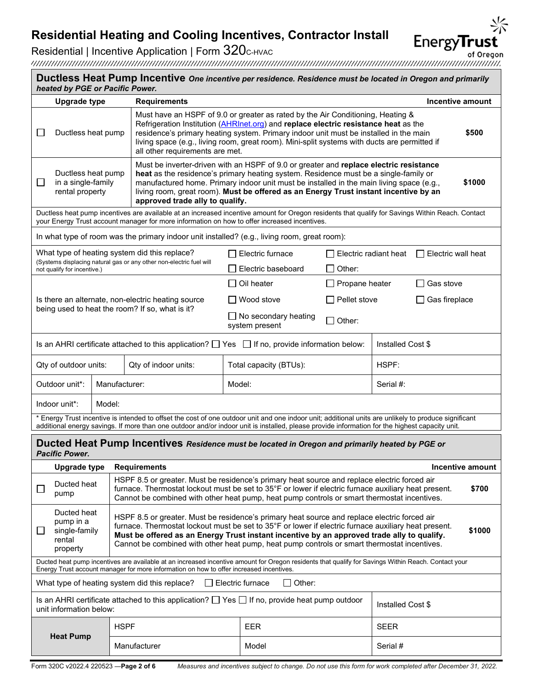Residential | Incentive Application | Form 320c-HVAC<br>of Oregon<br>http://www.martimedial.com/www.martimedial.com/www.martimedial.com/www.martimedial.com/www.martimedial.com/www of Oregon

| Ductless Heat Pump Incentive One incentive per residence. Residence must be located in Oregon and primarily<br>heated by PGE or Pacific Power.                                                                                                 |                                                                |                                                                                                                                                                                                                                                                                                                                                                                                                 |                                               |                       |                       |                         |  |
|------------------------------------------------------------------------------------------------------------------------------------------------------------------------------------------------------------------------------------------------|----------------------------------------------------------------|-----------------------------------------------------------------------------------------------------------------------------------------------------------------------------------------------------------------------------------------------------------------------------------------------------------------------------------------------------------------------------------------------------------------|-----------------------------------------------|-----------------------|-----------------------|-------------------------|--|
| <b>Upgrade type</b>                                                                                                                                                                                                                            |                                                                | <b>Requirements</b>                                                                                                                                                                                                                                                                                                                                                                                             |                                               |                       |                       | <b>Incentive amount</b> |  |
| Ductless heat pump                                                                                                                                                                                                                             |                                                                | Must have an HSPF of 9.0 or greater as rated by the Air Conditioning, Heating &<br>Refrigeration Institution (AHRInet.org) and replace electric resistance heat as the<br>residence's primary heating system. Primary indoor unit must be installed in the main<br>\$500<br>living space (e.g., living room, great room). Mini-split systems with ducts are permitted if<br>all other requirements are met.     |                                               |                       |                       |                         |  |
| Ductless heat pump<br>in a single-family<br>⊔<br>rental property                                                                                                                                                                               |                                                                | Must be inverter-driven with an HSPF of 9.0 or greater and replace electric resistance<br>heat as the residence's primary heating system. Residence must be a single-family or<br>manufactured home. Primary indoor unit must be installed in the main living space (e.g.,<br>\$1000<br>living room, great room). Must be offered as an Energy Trust instant incentive by an<br>approved trade ally to qualify. |                                               |                       |                       |                         |  |
|                                                                                                                                                                                                                                                |                                                                | Ductless heat pump incentives are available at an increased incentive amount for Oregon residents that qualify for Savings Within Reach. Contact<br>your Energy Trust account manager for more information on how to offer increased incentives.                                                                                                                                                                |                                               |                       |                       |                         |  |
|                                                                                                                                                                                                                                                |                                                                | In what type of room was the primary indoor unit installed? (e.g., living room, great room):                                                                                                                                                                                                                                                                                                                    |                                               |                       |                       |                         |  |
|                                                                                                                                                                                                                                                |                                                                | What type of heating system did this replace?                                                                                                                                                                                                                                                                                                                                                                   | l I Electric furnace                          |                       | Electric radiant heat | Electric wall heat      |  |
| not qualify for incentive.)                                                                                                                                                                                                                    |                                                                | (Systems displacing natural gas or any other non-electric fuel will                                                                                                                                                                                                                                                                                                                                             | Electric baseboard                            | $\Box$ Other:         |                       |                         |  |
|                                                                                                                                                                                                                                                |                                                                |                                                                                                                                                                                                                                                                                                                                                                                                                 | Oil heater                                    | $\Box$ Propane heater |                       | Gas stove               |  |
|                                                                                                                                                                                                                                                |                                                                | Is there an alternate, non-electric heating source                                                                                                                                                                                                                                                                                                                                                              | Wood stove                                    | $\Box$ Pellet stove   |                       | Gas fireplace           |  |
| being used to heat the room? If so, what is it?                                                                                                                                                                                                |                                                                |                                                                                                                                                                                                                                                                                                                                                                                                                 | $\Box$ No secondary heating<br>system present | $\Box$ Other:         |                       |                         |  |
| Is an AHRI certificate attached to this application? $\Box$ Yes $\Box$ If no, provide information below:<br>Installed Cost \$                                                                                                                  |                                                                |                                                                                                                                                                                                                                                                                                                                                                                                                 |                                               |                       |                       |                         |  |
| Qty of outdoor units:<br>Qty of indoor units:                                                                                                                                                                                                  |                                                                |                                                                                                                                                                                                                                                                                                                                                                                                                 | Total capacity (BTUs):                        |                       | HSPF:                 |                         |  |
| Outdoor unit*:<br>Manufacturer:                                                                                                                                                                                                                |                                                                | Model:<br>Serial #:                                                                                                                                                                                                                                                                                                                                                                                             |                                               |                       |                       |                         |  |
| Indoor unit*:                                                                                                                                                                                                                                  | Model:                                                         |                                                                                                                                                                                                                                                                                                                                                                                                                 |                                               |                       |                       |                         |  |
|                                                                                                                                                                                                                                                |                                                                | * Energy Trust incentive is intended to offset the cost of one outdoor unit and one indoor unit; additional units are unlikely to produce significant<br>additional energy savings. If more than one outdoor and/or indoor unit is installed, please provide information for the highest capacity unit.                                                                                                         |                                               |                       |                       |                         |  |
| <b>Pacific Power.</b>                                                                                                                                                                                                                          |                                                                | Ducted Heat Pump Incentives Residence must be located in Oregon and primarily heated by PGE or                                                                                                                                                                                                                                                                                                                  |                                               |                       |                       |                         |  |
|                                                                                                                                                                                                                                                | <b>Upgrade type</b><br><b>Requirements</b><br>Incentive amount |                                                                                                                                                                                                                                                                                                                                                                                                                 |                                               |                       |                       |                         |  |
| Ducted heat<br>⊔<br>pump                                                                                                                                                                                                                       |                                                                | HSPF 8.5 or greater. Must be residence's primary heat source and replace electric forced air<br>furnace. Thermostat lockout must be set to 35°F or lower if electric furnace auxiliary heat present.<br>\$700<br>Cannot be combined with other heat pump, heat pump controls or smart thermostat incentives.                                                                                                    |                                               |                       |                       |                         |  |
| Ducted heat<br>pump in a<br>single-family<br>⊔<br>rental<br>property                                                                                                                                                                           |                                                                | HSPF 8.5 or greater. Must be residence's primary heat source and replace electric forced air<br>furnace. Thermostat lockout must be set to 35°F or lower if electric furnace auxiliary heat present.<br>\$1000<br>Must be offered as an Energy Trust instant incentive by an approved trade ally to qualify.<br>Cannot be combined with other heat pump, heat pump controls or smart thermostat incentives.     |                                               |                       |                       |                         |  |
| Ducted heat pump incentives are available at an increased incentive amount for Oregon residents that qualify for Savings Within Reach. Contact your<br>Energy Trust account manager for more information on how to offer increased incentives. |                                                                |                                                                                                                                                                                                                                                                                                                                                                                                                 |                                               |                       |                       |                         |  |
| $\Box$ Other:<br>What type of heating system did this replace?<br>$\Box$ Electric furnace                                                                                                                                                      |                                                                |                                                                                                                                                                                                                                                                                                                                                                                                                 |                                               |                       |                       |                         |  |
| Is an AHRI certificate attached to this application? $\Box$ Yes $\Box$ If no, provide heat pump outdoor<br>Installed Cost \$<br>unit information below:                                                                                        |                                                                |                                                                                                                                                                                                                                                                                                                                                                                                                 |                                               |                       |                       |                         |  |
|                                                                                                                                                                                                                                                | <b>HSPF</b>                                                    |                                                                                                                                                                                                                                                                                                                                                                                                                 | <b>EER</b>                                    |                       | <b>SEER</b>           |                         |  |
| <b>Heat Pump</b>                                                                                                                                                                                                                               |                                                                | Manufacturer                                                                                                                                                                                                                                                                                                                                                                                                    | Model                                         |                       | Serial #              |                         |  |

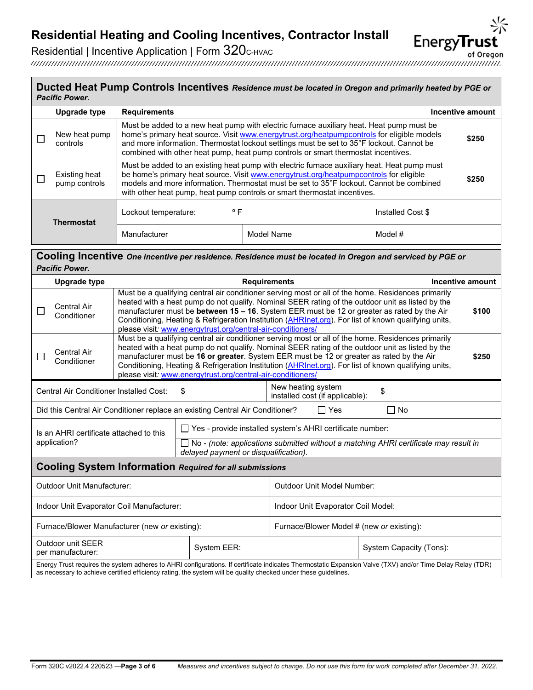

of Oregon

Residential | Incentive Application | Form 320C-HVAC

#### **Ducted Heat Pump Controls Incentives** *Residence must be located in Oregon and primarily heated by PGE or Pacific Power.*

|                   | Upgrade type                   | <b>Requirements</b>                                                                                                                                                                                                                                                                                                                                                     |            |                   | Incentive amount |  |
|-------------------|--------------------------------|-------------------------------------------------------------------------------------------------------------------------------------------------------------------------------------------------------------------------------------------------------------------------------------------------------------------------------------------------------------------------|------------|-------------------|------------------|--|
|                   | New heat pump<br>controls      | Must be added to a new heat pump with electric furnace auxiliary heat. Heat pump must be<br>home's primary heat source. Visit www.energytrust.org/heatpumpcontrols for eligible models<br>and more information. Thermostat lockout settings must be set to 35°F lockout. Cannot be<br>combined with other heat pump, heat pump controls or smart thermostat incentives. |            |                   | \$250            |  |
|                   | Existing heat<br>pump controls | Must be added to an existing heat pump with electric furnace auxiliary heat. Heat pump must<br>be home's primary heat source. Visit www.energytrust.org/heatpumpcontrols for eligible<br>models and more information. Thermostat must be set to 35°F lockout. Cannot be combined<br>with other heat pump, heat pump controls or smart thermostat incentives.            |            |                   | \$250            |  |
| <b>Thermostat</b> |                                | $^{\circ}$ F<br>Lockout temperature:                                                                                                                                                                                                                                                                                                                                    |            | Installed Cost \$ |                  |  |
|                   |                                | Manufacturer                                                                                                                                                                                                                                                                                                                                                            | Model Name | Model #           |                  |  |

#### **Cooling Incentive** *One incentive per residence. Residence must be located in Oregon and serviced by PGE or Pacific Power.*

| Upgrade type<br><b>Requirements</b>                                                                                                                                                                                                                                           |                                                                                                              |                                                                                                                                                                                                                                                                                                                                                                                                                                                                                      |                                                                                                                                      | Incentive amount |  |  |
|-------------------------------------------------------------------------------------------------------------------------------------------------------------------------------------------------------------------------------------------------------------------------------|--------------------------------------------------------------------------------------------------------------|--------------------------------------------------------------------------------------------------------------------------------------------------------------------------------------------------------------------------------------------------------------------------------------------------------------------------------------------------------------------------------------------------------------------------------------------------------------------------------------|--------------------------------------------------------------------------------------------------------------------------------------|------------------|--|--|
| Central Air<br>Conditioner                                                                                                                                                                                                                                                    |                                                                                                              | Must be a qualifying central air conditioner serving most or all of the home. Residences primarily<br>heated with a heat pump do not qualify. Nominal SEER rating of the outdoor unit as listed by the<br>manufacturer must be between 15 - 16. System EER must be 12 or greater as rated by the Air<br>\$100<br>Conditioning, Heating & Refrigeration Institution (AHRInet.org). For list of known qualifying units,<br>please visit: www.energytrust.org/central-air-conditioners/ |                                                                                                                                      |                  |  |  |
| Central Air<br>Conditioner                                                                                                                                                                                                                                                    |                                                                                                              | Must be a qualifying central air conditioner serving most or all of the home. Residences primarily<br>heated with a heat pump do not qualify. Nominal SEER rating of the outdoor unit as listed by the<br>manufacturer must be 16 or greater. System EER must be 12 or greater as rated by the Air<br>\$250<br>Conditioning, Heating & Refrigeration Institution (AHRInet.org). For list of known qualifying units,<br>please visit: www.energytrust.org/central-air-conditioners/   |                                                                                                                                      |                  |  |  |
|                                                                                                                                                                                                                                                                               | New heating system<br>\$<br>Central Air Conditioner Installed Cost:<br>\$<br>installed cost (if applicable): |                                                                                                                                                                                                                                                                                                                                                                                                                                                                                      |                                                                                                                                      |                  |  |  |
|                                                                                                                                                                                                                                                                               |                                                                                                              | Did this Central Air Conditioner replace an existing Central Air Conditioner?                                                                                                                                                                                                                                                                                                                                                                                                        | l IYes                                                                                                                               | $\Box$ No        |  |  |
| $\Box$ Yes - provide installed system's AHRI certificate number:<br>Is an AHRI certificate attached to this                                                                                                                                                                   |                                                                                                              |                                                                                                                                                                                                                                                                                                                                                                                                                                                                                      |                                                                                                                                      |                  |  |  |
| application?                                                                                                                                                                                                                                                                  |                                                                                                              |                                                                                                                                                                                                                                                                                                                                                                                                                                                                                      | $\Box$ No - (note: applications submitted without a matching AHRI certificate may result in<br>delayed payment or disqualification). |                  |  |  |
| <b>Cooling System Information Required for all submissions</b>                                                                                                                                                                                                                |                                                                                                              |                                                                                                                                                                                                                                                                                                                                                                                                                                                                                      |                                                                                                                                      |                  |  |  |
| Outdoor Unit Manufacturer:                                                                                                                                                                                                                                                    |                                                                                                              |                                                                                                                                                                                                                                                                                                                                                                                                                                                                                      | Outdoor Unit Model Number:                                                                                                           |                  |  |  |
| Indoor Unit Evaporator Coil Manufacturer:                                                                                                                                                                                                                                     |                                                                                                              |                                                                                                                                                                                                                                                                                                                                                                                                                                                                                      | Indoor Unit Evaporator Coil Model:                                                                                                   |                  |  |  |
| Furnace/Blower Manufacturer (new or existing):                                                                                                                                                                                                                                |                                                                                                              |                                                                                                                                                                                                                                                                                                                                                                                                                                                                                      | Furnace/Blower Model # (new or existing):                                                                                            |                  |  |  |
| Outdoor unit SEER<br>System EER:<br>per manufacturer:                                                                                                                                                                                                                         |                                                                                                              |                                                                                                                                                                                                                                                                                                                                                                                                                                                                                      | System Capacity (Tons):                                                                                                              |                  |  |  |
| Energy Trust requires the system adheres to AHRI configurations. If certificate indicates Thermostatic Expansion Valve (TXV) and/or Time Delay Relay (TDR)<br>as necessary to achieve certified efficiency rating, the system will be quality checked under these guidelines. |                                                                                                              |                                                                                                                                                                                                                                                                                                                                                                                                                                                                                      |                                                                                                                                      |                  |  |  |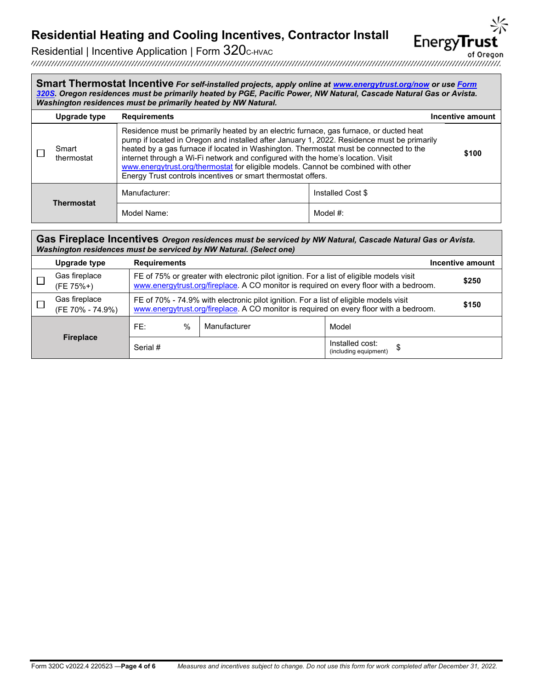of Oregon

**EnergyTrust** 

Residential | Incentive Application | Form 320C-HVAC

**Smart Thermostat Incentive** *For self-installed projects, apply online at [www.energytrust.org/now](http://www.energytrust.org/now) or use [Form](https://www.energytrust.org/wp-content/uploads/2016/10/HES_FM0320S.pdf)  [320S.](https://www.energytrust.org/wp-content/uploads/2016/10/HES_FM0320S.pdf) Oregon residences must be primarily heated by PGE, Pacific Power, NW Natural, Cascade Natural Gas or Avista. Washington residences must be primarily heated by NW Natural.*

|                   | Upgrade type        | <b>Requirements</b>                                                                                                                                                                                                                                                                                                                                                                                                                                                                                                   |                   | Incentive amount |
|-------------------|---------------------|-----------------------------------------------------------------------------------------------------------------------------------------------------------------------------------------------------------------------------------------------------------------------------------------------------------------------------------------------------------------------------------------------------------------------------------------------------------------------------------------------------------------------|-------------------|------------------|
|                   | Smart<br>thermostat | Residence must be primarily heated by an electric furnace, gas furnace, or ducted heat<br>pump if located in Oregon and installed after January 1, 2022. Residence must be primarily<br>heated by a gas furnace if located in Washington. Thermostat must be connected to the<br>internet through a Wi-Fi network and configured with the home's location. Visit<br>www.energytrust.org/thermostat for eligible models. Cannot be combined with other<br>Energy Trust controls incentives or smart thermostat offers. |                   | \$100            |
|                   |                     | Manufacturer:                                                                                                                                                                                                                                                                                                                                                                                                                                                                                                         | Installed Cost \$ |                  |
| <b>Thermostat</b> | Model Name:         | Model #:                                                                                                                                                                                                                                                                                                                                                                                                                                                                                                              |                   |                  |

| Gas Fireplace Incentives Oregon residences must be serviced by NW Natural, Cascade Natural Gas or Avista.<br>Washington residences must be serviced by NW Natural. (Select one) |                                   |                                                                                                                                                                                 |                                                                                                                                                                                    |                                                |                  |  |
|---------------------------------------------------------------------------------------------------------------------------------------------------------------------------------|-----------------------------------|---------------------------------------------------------------------------------------------------------------------------------------------------------------------------------|------------------------------------------------------------------------------------------------------------------------------------------------------------------------------------|------------------------------------------------|------------------|--|
|                                                                                                                                                                                 | Upgrade type                      | <b>Requirements</b>                                                                                                                                                             |                                                                                                                                                                                    |                                                | Incentive amount |  |
|                                                                                                                                                                                 | Gas fireplace<br>(FE 75%+)        |                                                                                                                                                                                 | FE of 75% or greater with electronic pilot ignition. For a list of eligible models visit<br>www.energytrust.org/fireplace. A CO monitor is required on every floor with a bedroom. |                                                |                  |  |
|                                                                                                                                                                                 | Gas fireplace<br>(FE 70% - 74.9%) | FE of 70% - 74.9% with electronic pilot ignition. For a list of eligible models visit<br>www.energytrust.org/fireplace. A CO monitor is required on every floor with a bedroom. |                                                                                                                                                                                    |                                                | \$150            |  |
|                                                                                                                                                                                 |                                   | $\%$<br>FE:                                                                                                                                                                     | Manufacturer                                                                                                                                                                       | Model                                          |                  |  |
|                                                                                                                                                                                 | <b>Fireplace</b>                  | Serial #                                                                                                                                                                        |                                                                                                                                                                                    | Installed cost:<br>\$<br>(including equipment) |                  |  |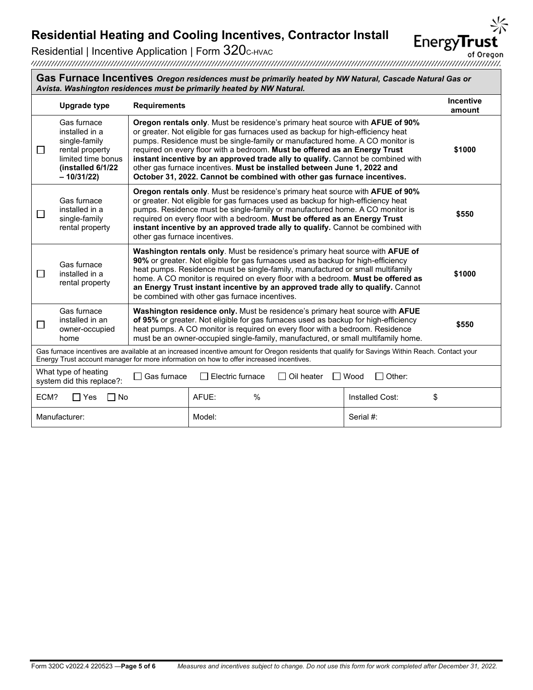### Residential | Incentive Application | Form 320c-HVAC

Energy Trust account manager for more information on how to offer increased incentives.

Gas furnace installed in an owner-occupied

home

П

What type of heating

**Gas Furnace Incentives** *Oregon residences must be primarily heated by NW Natural, Cascade Natural Gas or Avista. Washington residences must be primarily heated by NW Natural.* **Upgrade type Requirements Incentive amount** Gas furnace **Oregon rentals only**. Must be residence's primary heat source with **AFUE of 90%** installed in a or greater. Not eligible for gas furnaces used as backup for high-efficiency heat single-family pumps. Residence must be single-family or manufactured home. A CO monitor is  $\Box$ rental property required on every floor with a bedroom. **Must be offered as an Energy Trust \$1000** limited time bonus **instant incentive by an approved trade ally to qualify.** Cannot be combined with **(installed 6/1/22**  other gas furnace incentives. **Must be installed between June 1, 2022 and – 10/31/22) October 31, 2022. Cannot be combined with other gas furnace incentives. Oregon rentals only**. Must be residence's primary heat source with **AFUE of 90%** Gas furnace or greater. Not eligible for gas furnaces used as backup for high-efficiency heat installed in a pumps. Residence must be single-family or manufactured home. A CO monitor is П **\$550** single-family required on every floor with a bedroom. **Must be offered as an Energy Trust instant incentive by an approved trade ally to qualify.** Cannot be combined with rental property other gas furnace incentives. **Washington rentals only**. Must be residence's primary heat source with **AFUE of 90%** or greater. Not eligible for gas furnaces used as backup for high-efficiency Gas furnace heat pumps. Residence must be single-family, manufactured or small multifamily  $\Box$ **\$1000** installed in a home. A CO monitor is required on every floor with a bedroom. **Must be offered as**  rental property **an Energy Trust instant incentive by an approved trade ally to qualify.** Cannot be combined with other gas furnace incentives.

> **Washington residence only.** Must be residence's primary heat source with **AFUE of 95%** or greater. Not eligible for gas furnaces used as backup for high-efficiency heat pumps. A CO monitor is required on every floor with a bedroom. Residence must be an owner-occupied single-family, manufactured, or small multifamily home.

Gas furnace incentives are available at an increased incentive amount for Oregon residents that qualify for Savings Within Reach. Contact your

system did this replace?:  $\Box$  Gas furnace  $\Box$  Electric furnace  $\Box$  Oil heater  $\Box$  Wood  $\Box$  Other:

Manufacturer:  $\vert$  Model:  $\vert$  Model:  $\vert$  Serial #:

ECM? □ Yes □ No | AFUE: % | Installed Cost: \$

of Oregon

**EnergyTru** 

**\$550**